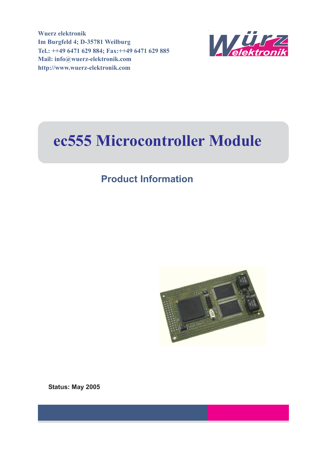**Wuerz elektronik Im Burgfeld 4; D-35781 Weilburg Tel.: ++49 6471 629 884; Fax:++49 6471 629 885 Mail: info@wuerz-elektronik.com http://www.wuerz-elektronik.com**



# **ec555 Microcontroller Module**

## **Product Information**



**Status: May 2005**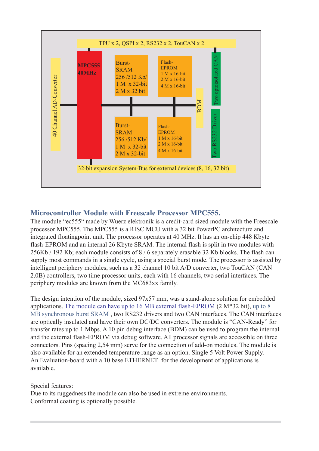

#### **Microcontroller Module with Freescale Processor MPC555.**

The module "ec555" made by Wuerz elektronik is a credit-card sized module with the Freescale processor MPC555. The MPC555 is a RISC MCU with a 32 bit PowerPC architecture and integrated floatingpoint unit. The processor operates at 40 MHz. It has an on-chip 448 Kbyte flash-EPROM and an internal 26 Kbyte SRAM. The internal flash is split in two modules with 256Kb / 192 Kb; each module consists of 8 / 6 separately erasable 32 Kb blocks. The flash can supply most commands in a single cycle, using a special burst mode. The processor is assisted by intelligent periphery modules, such as a 32 channel 10 bit A/D converter, two TouCAN (CAN 2.0B) controllers, two time processor units, each with 16 channels, two serial interfaces. The periphery modules are known from the MC683xx family.

The design intention of the module, sized 97x57 mm, was a stand-alone solution for embedded applications. The module can have up to 16 MB external flash-EPROM (2 M\*32 bit), up to 8 MB synchronous burst SRAM , two RS232 drivers and two CAN interfaces. The CAN interfaces are optically insulated and have their own DC/DC converters. The module is "CAN-Ready" for transfer rates up to 1 Mbps. A 10 pin debug interface (BDM) can be used to program the internal and the external flash-EPROM via debug software. All processor signals are accessible on three connectors. Pins (spacing 2,54 mm) serve for the connection of add-on modules. The module is also available for an extended temperature range as an option. Single 5 Volt Power Supply. An Evaluation-board with a 10 base ETHERNET for the development of applications is available.

Special features:

Due to its ruggedness the module can also be used in extreme environments. Conformal coating is optionally possible.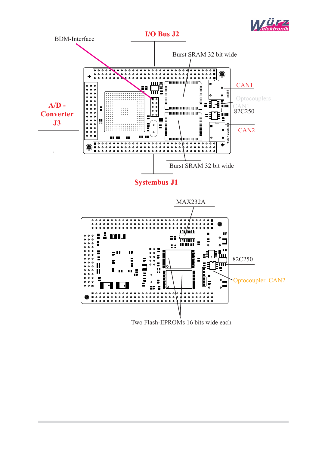



**Systembus J1**

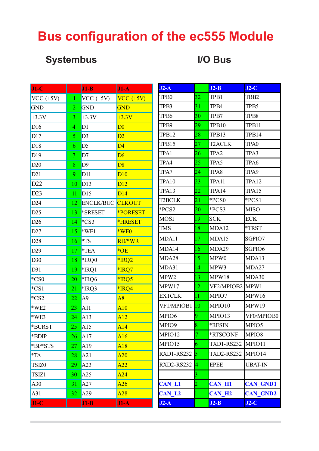# **Bus configuration of the ec555 Module**

## **Systembus I/O Bus**

| $J1-C$            |                          | $J1-B$           | $J1-A$          | J                       |
|-------------------|--------------------------|------------------|-----------------|-------------------------|
| $VCC (+5V)$       | $\mathbf{1}$             | VCC $(+5V)$      | $VCC (+5V)$     | ŋ                       |
| <b>GND</b>        | $\overline{2}$           | <b>GND</b>       | <b>GND</b>      | Ί                       |
| $+3.3V$           | 3                        | $+3.3V$          | $+3.3V$         | ŋ                       |
| D16               | $\overline{4}$           | D <sub>1</sub>   | $\overline{D0}$ | ŋ                       |
| DI7               | 5                        | D <sub>3</sub>   | D2              | ŋ                       |
| D18               | 6                        | D <sub>5</sub>   | $\overline{D4}$ | ľ                       |
| D19               | $\overline{\mathcal{I}}$ | D7               | D6              | ŋ                       |
| D20               | 8                        | D9               | D8              |                         |
| D21               | 9                        | D11              | D10             | ŋ                       |
| D22               | 10                       | D13              | D12             | ŋ                       |
| D23               | 11                       | D15              | D14             | Ί                       |
| D24               | 12                       | <b>ENCLK/BUC</b> | <b>CLKOUT</b>   | ŋ                       |
| D25               | 13                       | *SRESET          | <b>*PORESET</b> | *                       |
| D26               | 14                       | $*$ CS3          | <b>*HRESET</b>  | $\mathbf{I}$            |
| D27               | 15                       | $*WE1$           | $*WE0$          | h                       |
| D28               | 16                       | $*$ TS           | RD/*WR          | $\mathbf{I}$            |
| D29               | 17                       | $*TEA$           | $*$ OE          | $\mathbf{I}$            |
| D30               | 18                       | *IRQ0            | $*$ IRQ2        | $\mathbf{I}$            |
| D31               | 19                       | *IRQ1            | *IRQ7           | $\mathbf{I}$            |
| $*$ CS0           | 20                       | *IRQ6            | *IRQ5           | $\mathbf{I}$            |
| $*$ CS1           | 21                       | *IRQ3            | *IRQ4           | $\mathbf{I}$            |
| $*$ CS2           | 22                       | A <sub>9</sub>   | A8              | $\mathbf{I}$            |
| $*WE2$            | 23                       | A11              | A10             |                         |
| $*WE3$            | 24                       | A13              | A12             | $\mathbf{I}$            |
| <b>*BURST</b>     | 25                       | A15              | A14             | h                       |
| *BDIP             | 26                       | A17              | A16             | $\mathbf{I}$            |
| *BI/*STS          | 27                       | A19              | A18             | $\mathbf{I}$            |
| $*TA$             | 28                       | A21              | A20             | I                       |
| TSIZ <sub>0</sub> | 29                       | A23              | A22             | I                       |
| TSIZ1             | 30                       | A25              | A24             |                         |
| A30               | 31                       | A27              | A26             | $\overline{\mathbf{C}}$ |
| A31               | 32                       | A29              | A28             | $\overline{\mathbf{C}}$ |
| $J1-C$            |                          | $J1-B$           | $J1-A$          | $\mathbf{J}$            |

| $J2-A$            |                         | $J2-B$            | $J2-C$           |
|-------------------|-------------------------|-------------------|------------------|
| TP <sub>B0</sub>  | 32                      | TPB1              | TBB <sub>2</sub> |
| TPB3              | 31                      | TPB4              | TPB5             |
| TP <sub>B6</sub>  | 30                      | TPB7              | TPB8             |
| TPB9              | 29                      | TPB10             | TPB11            |
| TPB12             | 28                      | TPB13             | TPB14            |
| TPB15             | 27                      | <b>T2ACLK</b>     | TPA0             |
| TPA1              | 26                      | TPA <sub>2</sub>  | TPA3             |
| TPA4              | 25                      | TPA5              | TPA6             |
| TPA7              | 24                      | TPA8              | TPA9             |
| TPA10             | 23                      | TPA11             | TPA12            |
| TPA13             | 22                      | TPA14             | TPA15            |
| <b>T2BCLK</b>     | 21                      | *PCS0             | *PCS1            |
| *PCS2             | 20                      | *PCS3             | <b>MISO</b>      |
| MOSI              | 19                      | SCK               | <b>ECK</b>       |
| TMS               | 18                      | MDA12             | *TRST            |
| MDA11             | 17                      | MDA15             | SGPIO7           |
| MDA14             | 16                      | MDA29             | SGPIO6           |
| MDA28             | 15                      | MPW0              | MDA13            |
| MDA31             | 14                      | MPW3              | MDA27            |
| MPW <sub>2</sub>  | 13                      | MPW18             | MDA30            |
| MPW17             | 12                      | VF2/MPIOB2 MPW1   |                  |
| <b>EXTCLK</b>     | $\overline{11}$         | MPIO7             | MPW16            |
| VF1/MPIOB1        | 10                      | MPIO10            | MPW19            |
| MPIO <sub>6</sub> | 9                       | MPIO13            | VF0/MPIOB0       |
| MPIO9             | $\overline{8}$          | *RESIN            | MPIO5            |
| MPIO12            | $\overline{7}$          | *RTSCONF          | MPIO8            |
| MPIO15            | 6                       | <b>TXD1-RS232</b> | MPIO11           |
| RXD1-RS232        | 5                       | <b>TXD2-RS232</b> | MPIO14           |
| <b>RXD2-RS232</b> | 4                       | <b>EPEE</b>       | <b>UBAT-IN</b>   |
|                   | $\overline{\mathbf{3}}$ |                   |                  |
| <b>CAN L1</b>     | $\overline{2}$          | <b>CAN H1</b>     | <b>CAN GND1</b>  |
| <b>CAN L2</b>     |                         | <b>CAN H2</b>     | <b>CAN GND2</b>  |
| $J2-A$            |                         | $J2-B$            | $J2-C$           |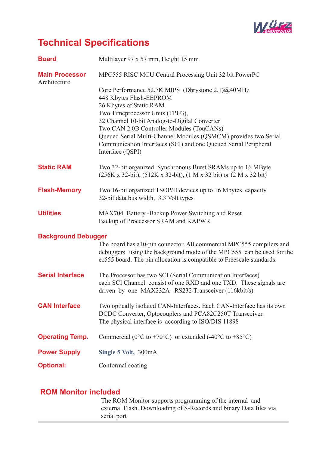

## **Technical Specifications**

| <b>Board</b>                          | Multilayer 97 x 57 mm, Height 15 mm                                                                                                                                                                                                                                                                                                                                                                |
|---------------------------------------|----------------------------------------------------------------------------------------------------------------------------------------------------------------------------------------------------------------------------------------------------------------------------------------------------------------------------------------------------------------------------------------------------|
| <b>Main Processor</b><br>Architecture | MPC555 RISC MCU Central Processing Unit 32 bit PowerPC                                                                                                                                                                                                                                                                                                                                             |
|                                       | Core Performance 52.7K MIPS (Dhrystone 2.1)@40MHz<br>448 Kbytes Flash-EEPROM<br>26 Kbytes of Static RAM<br>Two Timeprocessor Units (TPU3),<br>32 Channel 10-bit Analog-to-Digital Converter<br>Two CAN 2.0B Controller Modules (TouCANs)<br>Queued Serial Multi-Channel Modules (QSMCM) provides two Serial<br>Communication Interfaces (SCI) and one Queued Serial Peripheral<br>Interface (QSPI) |
| <b>Static RAM</b>                     | Two 32-bit organized Synchronous Burst SRAMs up to 16 MByte<br>$(256K \times 32-bit)$ , $(512K \times 32-bit)$ , $(1 M \times 32 bit)$ or $(2 M \times 32 bit)$                                                                                                                                                                                                                                    |
| <b>Flash-Memory</b>                   | Two 16-bit organized TSOP/II devices up to 16 Mbytes capacity<br>32-bit data bus width, 3.3 Volt types                                                                                                                                                                                                                                                                                             |
| <b>Utilities</b>                      | MAX704 Battery -Backup Power Switching and Reset<br>Backup of Proccessor SRAM and KAPWR                                                                                                                                                                                                                                                                                                            |
| <b>Background Debugger</b>            | The board has a10-pin connector. All commercial MPC555 compilers and<br>debuggers using the background mode of the MPC555 can be used for the<br>ec555 board. The pin allocation is compatible to Freescale standards.                                                                                                                                                                             |
| <b>Serial Interface</b>               | The Processor has two SCI (Serial Communication Interfaces)<br>each SCI Channel consist of one RXD and one TXD. These signals are<br>driven by one MAX232A RS232 Transceiver (116kbit/s).                                                                                                                                                                                                          |
| <b>CAN Interface</b>                  | Two optically isolated CAN-Interfaces. Each CAN-Interface has its own<br>DCDC Converter, Optocouplers and PCA82C250T Transceiver.<br>The physical interface is according to ISO/DIS 11898                                                                                                                                                                                                          |
| <b>Operating Temp.</b>                | Commercial ( $0^{\circ}$ C to +70°C) or extended (-40°C to +85°C)                                                                                                                                                                                                                                                                                                                                  |
| <b>Power Supply</b>                   | Single 5 Volt, 300mA                                                                                                                                                                                                                                                                                                                                                                               |
| <b>Optional:</b>                      | Conformal coating                                                                                                                                                                                                                                                                                                                                                                                  |

#### **ROM Monitor included**

The ROM Monitor supports programming of the internal and external Flash. Downloading of S-Records and binary Data files via serial port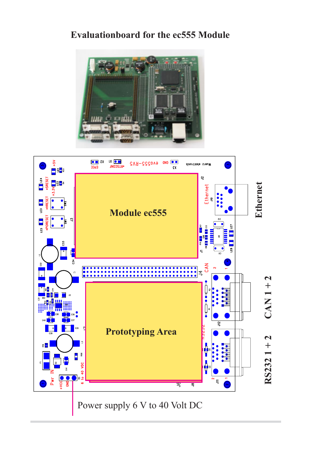## **Evaluationboard for the ec555 Module**





Power supply 6 V to 40 Volt DC